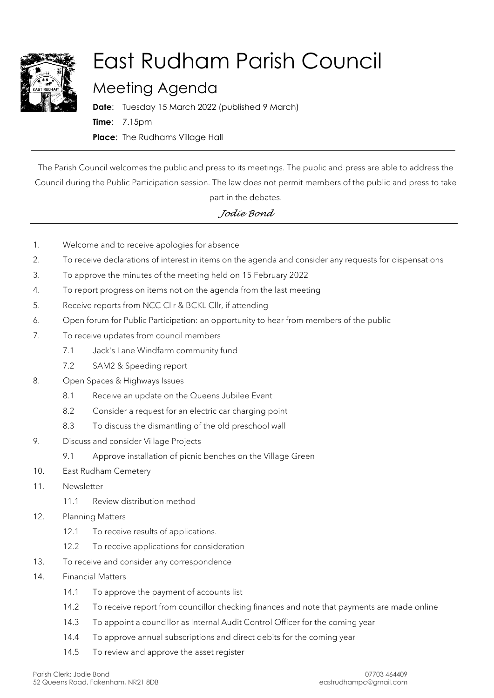

## East Rudham Parish Council

## Meeting Agenda

**Date**: Tuesday 15 March 2022 (published 9 March) **Time**: 7.15pm **Place**: The Rudhams Village Hall

The Parish Council welcomes the public and press to its meetings. The public and press are able to address the Council during the Public Participation session. The law does not permit members of the public and press to take

## part in the debates.

## *Jodie Bond*

- 1. Welcome and to receive apologies for absence
- 2. To receive declarations of interest in items on the agenda and consider any requests for dispensations
- 3. To approve the minutes of the meeting held on 15 February 2022
- 4. To report progress on items not on the agenda from the last meeting
- 5. Receive reports from NCC Cllr & BCKL Cllr, if attending
- 6. Open forum for Public Participation: an opportunity to hear from members of the public
- 7. To receive updates from council members
	- 7.1 Jack's Lane Windfarm community fund
	- 7.2 SAM2 & Speeding report
- 8. Open Spaces & Highways Issues
	- 8.1 Receive an update on the Queens Jubilee Event
	- 8.2 Consider a request for an electric car charging point
	- 8.3 To discuss the dismantling of the old preschool wall
- 9. Discuss and consider Village Projects
	- 9.1 Approve installation of picnic benches on the Village Green
- 10. East Rudham Cemetery
- 11. Newsletter
	- 11.1 Review distribution method
- 12. Planning Matters
	- 12.1 To receive results of applications.
	- 12.2 To receive applications for consideration
- 13. To receive and consider any correspondence
- 14. Financial Matters
	- 14.1 To approve the payment of accounts list
	- 14.2 To receive report from councillor checking finances and note that payments are made online
	- 14.3 To appoint a councillor as Internal Audit Control Officer for the coming year
	- 14.4 To approve annual subscriptions and direct debits for the coming year
	- 14.5 To review and approve the asset register